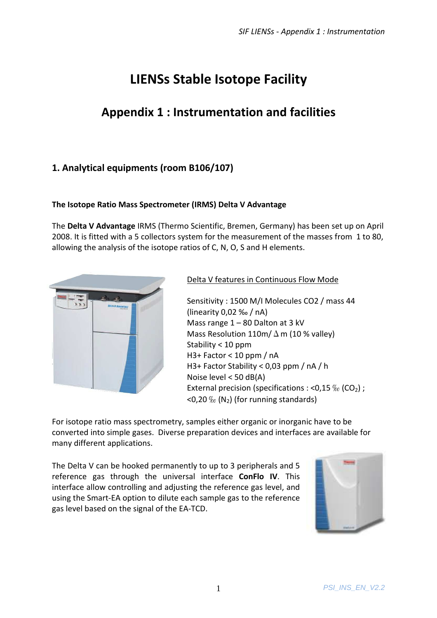# **LIENSs Stable Isotope Facility**

## **Appendix 1 : Instrumentation and facilities**

### **1. Analytical equipments (room B106/107)**

#### **The Isotope Ratio Mass Spectrometer (IRMS) Delta V Advantage**

The **Delta V Advantage** IRMS (Thermo Scientific, Bremen, Germany) has been set up on April 2008. It is fitted with a 5 collectors system for the measurement of the masses from 1 to 80, allowing the analysis of the isotope ratios of C, N, O, S and H elements.



#### Delta V features in Continuous Flow Mode

Sensitivity : 1500 M/I Molecules CO2 / mass 44 (linearity 0,02 ‰ / nA) Mass range 1 – 80 Dalton at 3 kV Mass Resolution 110m/ $\Delta$  m (10 % valley) Stability < 10 ppm H3+ Factor < 10 ppm / nA H3+ Factor Stability < 0,03 ppm / nA / h Noise level < 50 dB(A) External precision (specifications : <0,15  $\%$  (CO<sub>2</sub>) ;  $\leq$ 0,20 $\%$  (N<sub>2</sub>) (for running standards)

For isotope ratio mass spectrometry, samples either organic or inorganic have to be converted into simple gases. Diverse preparation devices and interfaces are available for many different applications.

The Delta V can be hooked permanently to up to 3 peripherals and 5 reference gas through the universal interface **ConFlo IV**. This interface allow controlling and adjusting the reference gas level, and using the Smart-EA option to dilute each sample gas to the reference gas level based on the signal of the EA-TCD.

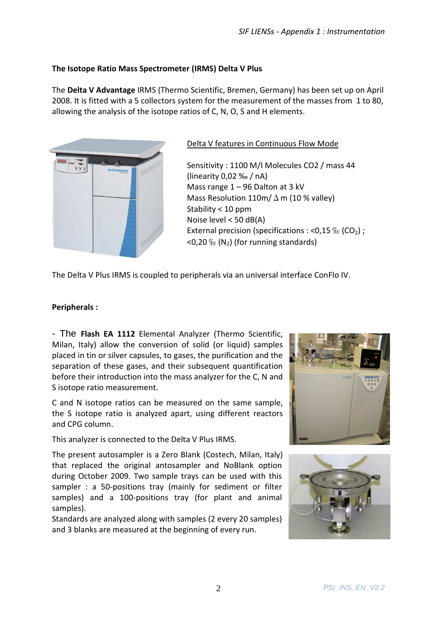#### **The Isotope Ratio Mass Spectrometer (IRMS) Delta V Plus**

The **Delta V Advantage** IRMS (Thermo Scientific, Bremen, Germany) has been set up on April 2008. It is fitted with a 5 collectors system for the measurement of the masses from 1 to 80, allowing the analysis of the isotope ratios of C, N, O, S and H elements.



#### Delta V features in Continuous Flow Mode

Sensitivity : 1100 M/I Molecules CO2 / mass 44 (linearity 0,02 ‰ / nA) Mass range 1 – 96 Dalton at 3 kV Mass Resolution 110m/ $\Delta$  m (10 % valley) Stability < 10 ppm Noise level < 50 dB(A) External precision (specifications : <0,15  $\%$  (CO<sub>2</sub>) ;  $<$ 0,20 ‰ (N<sub>2</sub>) (for running standards)

The Delta V Plus IRMS is coupled to peripherals via an universal interface ConFlo IV.

#### **Peripherals :**

- The **Flash EA 1112** Elemental Analyzer (Thermo Scientific, Milan, Italy) allow the conversion of solid (or liquid) samples placed in tin or silver capsules, to gases, the purification and the separation of these gases, and their subsequent quantification before their introduction into the mass analyzer for the C, N and S isotope ratio measurement.

C and N isotope ratios can be measured on the same sample, the S isotope ratio is analyzed apart, using different reactors and CPG column.

This analyzer is connected to the Delta V Plus IRMS.

The present autosampler is a Zero Blank (Costech, Milan, Italy) that replaced the original antosampler and NoBlank option during October 2009. Two sample trays can be used with this sampler : a 50-positions tray (mainly for sediment or filter samples) and a 100-positions tray (for plant and animal samples).

Standards are analyzed along with samples (2 every 20 samples) and 3 blanks are measured at the beginning of every run.



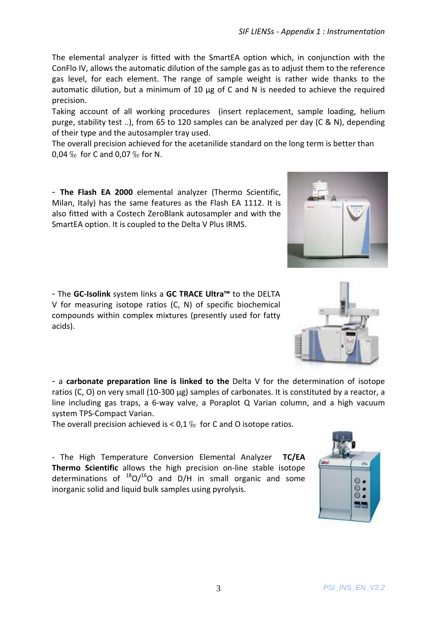The elemental analyzer is fitted with the SmartEA option which, in conjunction with the ConFlo IV, allows the automatic dilution of the sample gas as to adjust them to the reference gas level, for each element. The range of sample weight is rather wide thanks to the automatic dilution, but a minimum of 10 μg of C and N is needed to achieve the required precision.

Taking account of all working procedures (insert replacement, sample loading, helium purge, stability test ..), from 65 to 120 samples can be analyzed per day (C & N), depending of their type and the autosampler tray used.

The overall precision achieved for the acetanilide standard on the long term is better than 0,04 ‰ for C and 0,07 ‰ for N.

- **The Flash EA 2000** elemental analyzer (Thermo Scientific, Milan, Italy) has the same features as the Flash EA 1112. It is also fitted with a Costech ZeroBlank autosampler and with the SmartEA option. It is coupled to the Delta V Plus IRMS.

- The **GC-Isolink** system links a **GC TRACE Ultra™** to the DELTA V for measuring isotope ratios (C, N) of specific biochemical compounds within complex mixtures (presently used for fatty acids).

- a **carbonate preparation line is linked to the** Delta V for the determination of isotope ratios (C, O) on very small (10-300 μg) samples of carbonates. It is constituted by a reactor, a line including gas traps, a 6-way valve, a Poraplot Q Varian column, and a high vacuum system TPS-Compact Varian.

The overall precision achieved is  $< 0.1 \%$  for C and O isotope ratios.

- The High Temperature Conversion Elemental Analyzer **TC/EA Thermo Scientific** allows the high precision on-line stable isotope determinations of  $^{18}O/^{16}O$  and D/H in small organic and some inorganic solid and liquid bulk samples using pyrolysis.





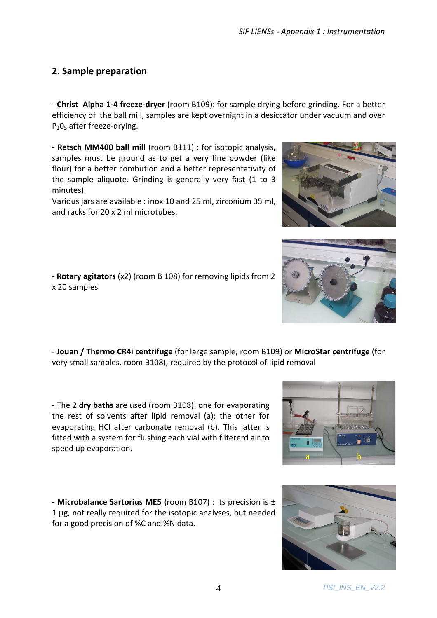## **2. Sample preparation**

- **Christ Alpha 1-4 freeze-dryer** (room B109): for sample drying before grinding. For a better efficiency of the ball mill, samples are kept overnight in a desiccator under vacuum and over P<sub>2</sub>0<sub>5</sub> after freeze-drying.

- **Retsch MM400 ball mill** (room B111) : for isotopic analysis, samples must be ground as to get a very fine powder (like flour) for a better combution and a better representativity of the sample aliquote. Grinding is generally very fast (1 to 3 minutes).

Various jars are available : inox 10 and 25 ml, zirconium 35 ml, and racks for 20 x 2 ml microtubes.

- **Rotary agitators** (x2) (room B 108) for removing lipids from 2 x 20 samples

- **Jouan / Thermo CR4i centrifuge** (for large sample, room B109) or **MicroStar centrifuge** (for very small samples, room B108), required by the protocol of lipid removal

- The 2 **dry baths** are used (room B108): one for evaporating the rest of solvents after lipid removal (a); the other for evaporating HCl after carbonate removal (b). This latter is fitted with a system for flushing each vial with filtererd air to speed up evaporation.

- **Microbalance Sartorius ME5** (room B107) : its precision is ± 1 μg, not really required for the isotopic analyses, but needed for a good precision of %C and %N data.